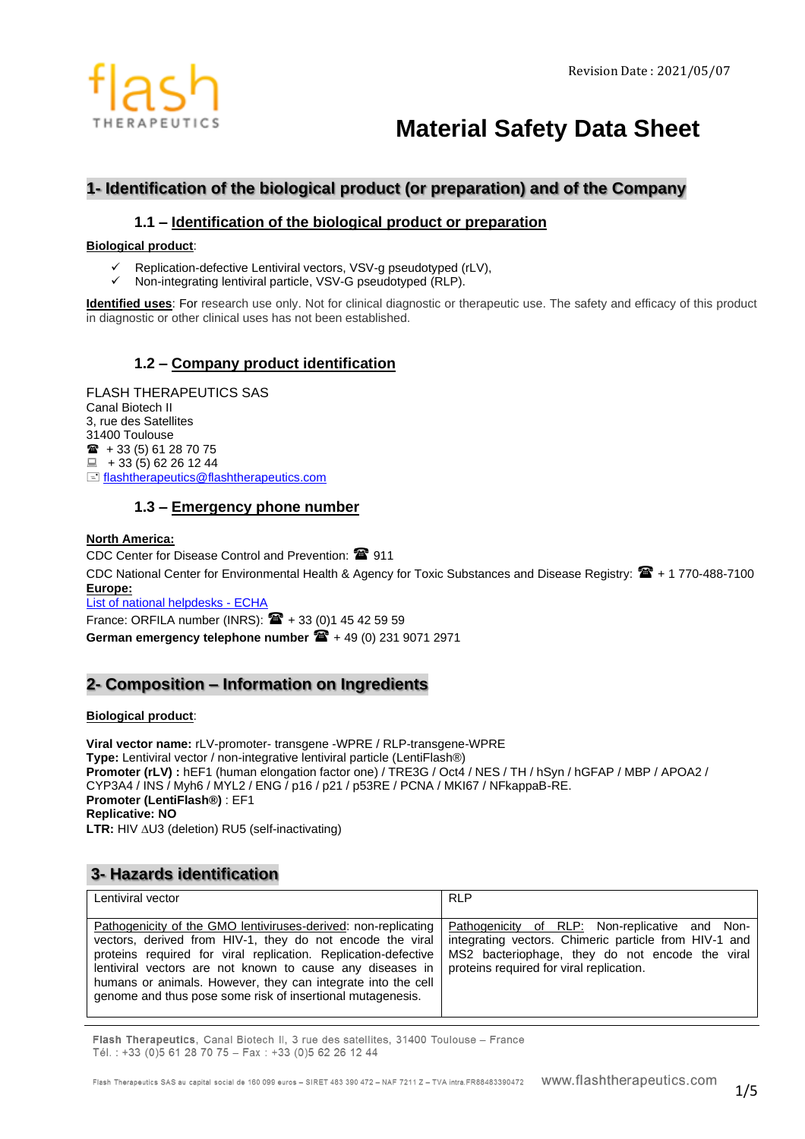

# **Material Safety Data Sheet**

# **1- Identification of the biological product (or preparation) and of the Company**

# **1.1 – Identification of the biological product or preparation**

#### **Biological product**:

- ✓ Replication-defective Lentiviral vectors, VSV-g pseudotyped (rLV),
- Non-integrating lentiviral particle, VSV-G pseudotyped (RLP).

**Identified uses**: For research use only. Not for clinical diagnostic or therapeutic use. The safety and efficacy of this product in diagnostic or other clinical uses has not been established.

# **1.2 – Company product identification**

FLASH THERAPEUTICS SAS Canal Biotech II 3, rue des Satellites 31400 Toulouse  $\hat{B}$  + 33 (5) 61 28 70 75  $\Box$  + 33 (5) 62 26 12 44 [flashtherapeutics@flashtherapeutics.com](mailto:flashtherapeutics@flashtherapeutics.com)

## **1.3 – Emergency phone number**

#### **North America:**

CDC Center for Disease Control and Prevention: <sup>2</sup>911 CDC National Center for Environmental Health & Agency for Toxic Substances and Disease Registry:  $\mathbb{E} + 1770-488-7100$ **Europe:**

[List of national helpdesks -](http://echa.europa.eu/web/guest/support/helpdesks/national-helpdesks/list-of-national-helpdesks) ECHA

France: ORFILA number (INRS):  $\mathbf{\hat{m}}$  + 33 (0)1 45 42 59 59 **German emergency telephone number**  $\mathbf{\widehat{m}}$  + 49 (0) 231 9071 2971

# **2- Composition – Information on Ingredients**

#### **Biological product**:

**Viral vector name:** rLV-promoter- transgene -WPRE / RLP-transgene-WPRE **Type:** Lentiviral vector / non-integrative lentiviral particle (LentiFlash®) **Promoter (rLV) :** hEF1 (human elongation factor one) / TRE3G / Oct4 / NES / TH / hSyn / hGFAP / MBP / APOA2 / CYP3A4 / INS / Myh6 / MYL2 / ENG / p16 / p21 / p53RE / PCNA / MKI67 / NFkappaB-RE. **Promoter (LentiFlash®)** : EF1 **Replicative: NO** LTR: HIV  $\triangle$ U3 (deletion) RU5 (self-inactivating)

# **3- Hazards identification**

| Lentiviral vector                                                                                                                                                                                                                                                                                                                                                                        | <b>RLP</b>                                                                                                                                                                                             |
|------------------------------------------------------------------------------------------------------------------------------------------------------------------------------------------------------------------------------------------------------------------------------------------------------------------------------------------------------------------------------------------|--------------------------------------------------------------------------------------------------------------------------------------------------------------------------------------------------------|
| Pathogenicity of the GMO lentiviruses-derived: non-replicating<br>vectors, derived from HIV-1, they do not encode the viral<br>proteins required for viral replication. Replication-defective<br>lentiviral vectors are not known to cause any diseases in<br>humans or animals. However, they can integrate into the cell<br>genome and thus pose some risk of insertional mutagenesis. | Pathogenicity of RLP: Non-replicative and Non-<br>integrating vectors. Chimeric particle from HIV-1 and<br>MS2 bacteriophage, they do not encode the viral<br>proteins required for viral replication. |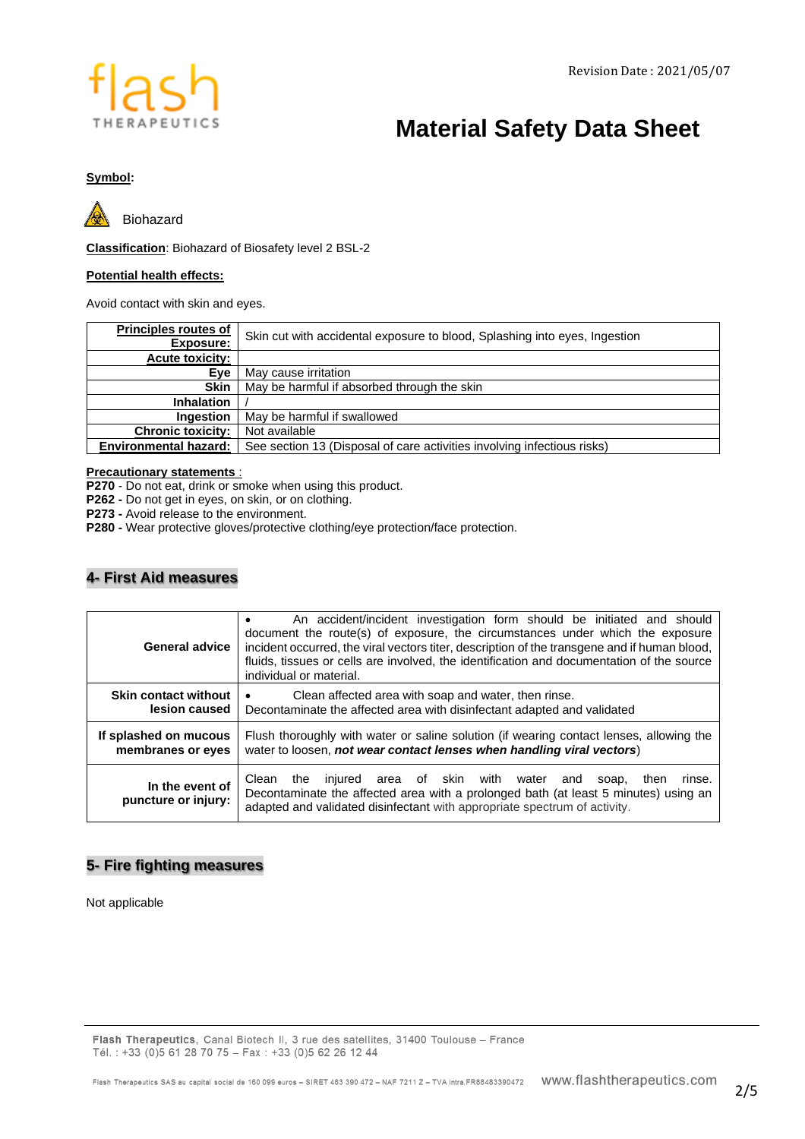

# **Material Safety Data Sheet**

## **Symbol:**



Biohazard

**Classification**: Biohazard of Biosafety level 2 BSL-2

#### **Potential health effects:**

Avoid contact with skin and eyes.

| <b>Principles routes of</b>  | Skin cut with accidental exposure to blood, Splashing into eyes, Ingestion |  |
|------------------------------|----------------------------------------------------------------------------|--|
| Exposure:                    |                                                                            |  |
| <b>Acute toxicity:</b>       |                                                                            |  |
| Eve                          | May cause irritation                                                       |  |
| <b>Skin</b>                  | May be harmful if absorbed through the skin                                |  |
| <b>Inhalation</b>            |                                                                            |  |
| <b>Ingestion</b>             | May be harmful if swallowed                                                |  |
| <b>Chronic toxicity:</b>     | Not available                                                              |  |
| <b>Environmental hazard:</b> | See section 13 (Disposal of care activities involving infectious risks)    |  |

#### **Precautionary statements** :

**P270** - Do not eat, drink or smoke when using this product.

**P262 -** Do not get in eyes, on skin, or on clothing.

**P273 -** Avoid release to the environment.

**P280 -** Wear protective gloves/protective clothing/eye protection/face protection.

# **4- First Aid measures**

| <b>General advice</b>                  | An accident/incident investigation form should be initiated and should<br>document the route(s) of exposure, the circumstances under which the exposure<br>incident occurred, the viral vectors titer, description of the transgene and if human blood,<br>fluids, tissues or cells are involved, the identification and documentation of the source<br>individual or material. |  |
|----------------------------------------|---------------------------------------------------------------------------------------------------------------------------------------------------------------------------------------------------------------------------------------------------------------------------------------------------------------------------------------------------------------------------------|--|
| <b>Skin contact without</b>            | Clean affected area with soap and water, then rinse.                                                                                                                                                                                                                                                                                                                            |  |
| lesion caused                          | Decontaminate the affected area with disinfectant adapted and validated                                                                                                                                                                                                                                                                                                         |  |
| If splashed on mucous                  | Flush thoroughly with water or saline solution (if wearing contact lenses, allowing the                                                                                                                                                                                                                                                                                         |  |
| membranes or eyes                      | water to loosen, not wear contact lenses when handling viral vectors)                                                                                                                                                                                                                                                                                                           |  |
| In the event of<br>puncture or injury: | area of skin with water<br>Clean<br>injured<br>the<br>rinse.<br>and<br>soap,<br>then<br>Decontaminate the affected area with a prolonged bath (at least 5 minutes) using an<br>adapted and validated disinfectant with appropriate spectrum of activity.                                                                                                                        |  |

# **5- Fire fighting measures**

Not applicable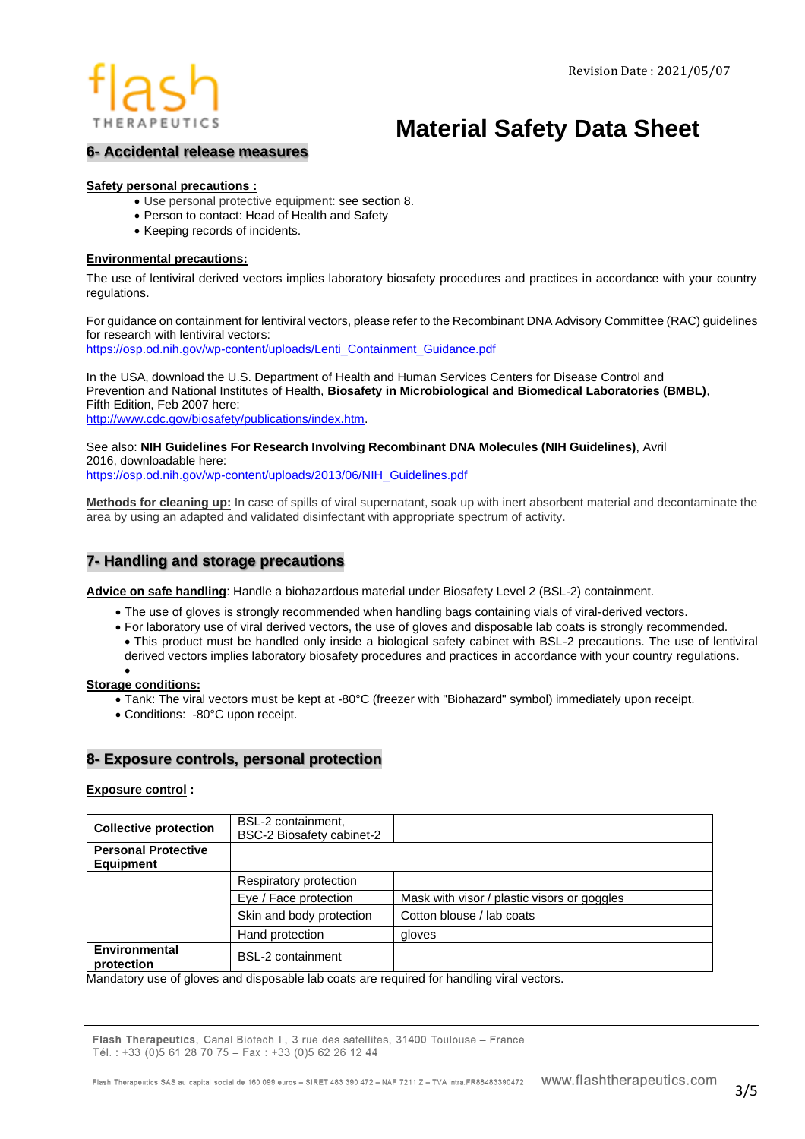# THERAPEUTICS

# **Material Safety Data Sheet**

# **6- Accidental release measures**

### **Safety personal precautions :**

- Use personal protective equipment: see section 8.
- Person to contact: Head of Health and Safety
- Keeping records of incidents.

#### **Environmental precautions:**

The use of lentiviral derived vectors implies laboratory biosafety procedures and practices in accordance with your country regulations.

For guidance on containment for lentiviral vectors, please refer to the Recombinant DNA Advisory Committee (RAC) guidelines for research with lentiviral vectors:

[https://osp.od.nih.gov/wp-content/uploads/Lenti\\_Containment\\_Guidance.pdf](https://osp.od.nih.gov/wp-content/uploads/Lenti_Containment_Guidance.pdf)

In the USA, download the U.S. Department of Health and Human Services Centers for Disease Control and Prevention and National Institutes of Health, **Biosafety in Microbiological and Biomedical Laboratories (BMBL)**, Fifth Edition, Feb 2007 here: [http://www.cdc.gov/biosafety/publications/index.htm.](http://www.cdc.gov/biosafety/publications/index.htm)

See also: **NIH Guidelines For Research Involving Recombinant DNA Molecules (NIH Guidelines)**, Avril 2016, downloadable here:

[https://osp.od.nih.gov/wp-content/uploads/2013/06/NIH\\_Guidelines.pdf](https://osp.od.nih.gov/wp-content/uploads/2013/06/NIH_Guidelines.pdf)

**Methods for cleaning up:** In case of spills of viral supernatant, soak up with inert absorbent material and decontaminate the area by using an adapted and validated disinfectant with appropriate spectrum of activity.

# **7- Handling and storage precautions**

**Advice on safe handling**: Handle a biohazardous material under Biosafety Level 2 (BSL-2) containment.

- The use of gloves is strongly recommended when handling bags containing vials of viral-derived vectors.
- For laboratory use of viral derived vectors, the use of gloves and disposable lab coats is strongly recommended. • This product must be handled only inside a biological safety cabinet with BSL-2 precautions. The use of lentiviral derived vectors implies laboratory biosafety procedures and practices in accordance with your country regulations.

#### • **Storage conditions:**

- Tank: The viral vectors must be kept at -80°C (freezer with "Biohazard" symbol) immediately upon receipt.
- Conditions: -80°C upon receipt.

### **8- Exposure controls, personal protection**

#### **Exposure control :**

| <b>Collective protection</b>                   | BSL-2 containment,<br>BSC-2 Biosafety cabinet-2 |                                             |
|------------------------------------------------|-------------------------------------------------|---------------------------------------------|
| <b>Personal Protective</b><br><b>Equipment</b> |                                                 |                                             |
|                                                | Respiratory protection                          |                                             |
|                                                | Eye / Face protection                           | Mask with visor / plastic visors or goggles |
|                                                | Skin and body protection                        | Cotton blouse / lab coats                   |
|                                                | Hand protection                                 | gloves                                      |
| <b>Environmental</b><br>protection             | <b>BSL-2</b> containment                        |                                             |

Mandatory use of gloves and disposable lab coats are required for handling viral vectors.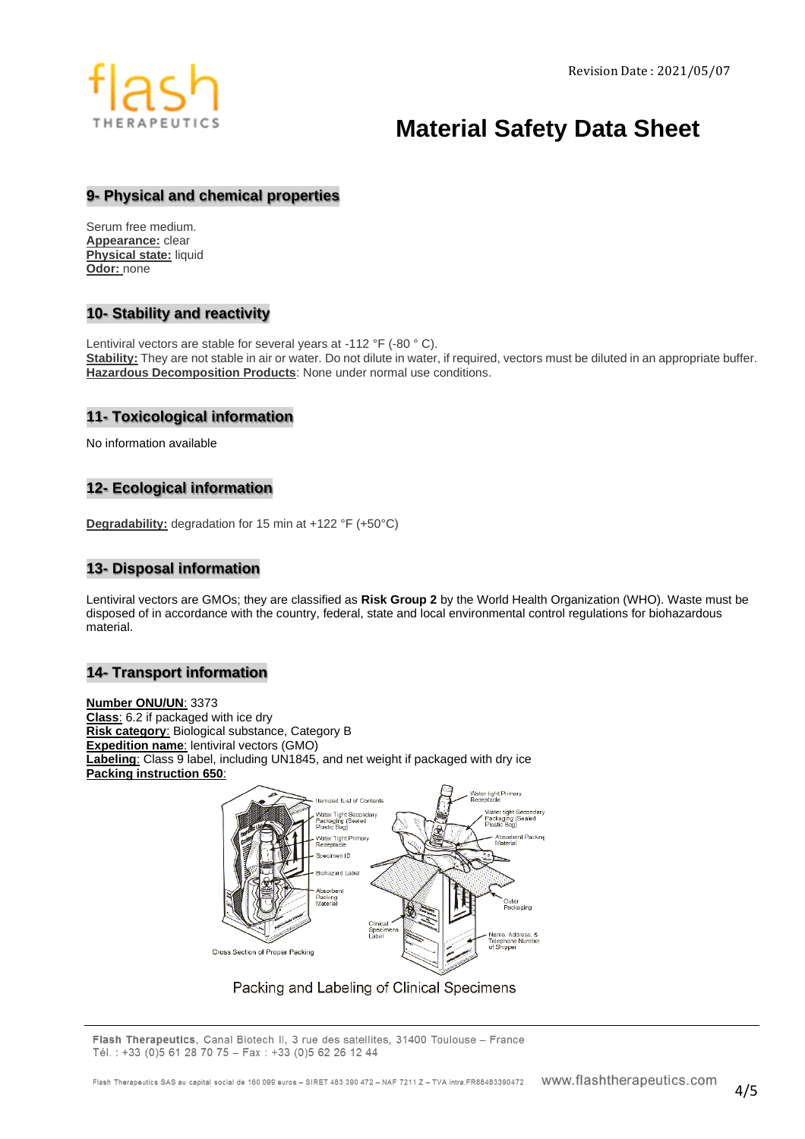# **Material Safety Data Sheet**

## **9- Physical and chemical properties**

Serum free medium. **Appearance:** clear **Physical state:** liquid **Odor:** none

# **10- Stability and reactivity**

Lentiviral vectors are stable for several years at -112 °F (-80 ° C). **Stability:** They are not stable in air or water. Do not dilute in water, if required, vectors must be diluted in an appropriate buffer. **Hazardous Decomposition Products**: None under normal use conditions.

### **11- Toxicological information**

No information available

# **12- Ecological information**

**Degradability:** degradation for 15 min at +122 °F (+50°C)

## **13- Disposal information**

Lentiviral vectors are GMOs; they are classified as **Risk Group 2** by the World Health Organization (WHO). Waste must be disposed of in accordance with the country, federal, state and local environmental control regulations for biohazardous material.

# **14- Transport information**

**Number ONU/UN**: 3373 **Class**: 6.2 if packaged with ice dry **Risk category**: Biological substance, Category B **Expedition name**: lentiviral vectors (GMO) **Labeling**: Class 9 label, including UN1845, and net weight if packaged with dry ice **Packing instruction 650**:



Packing and Labeling of Clinical Specimens